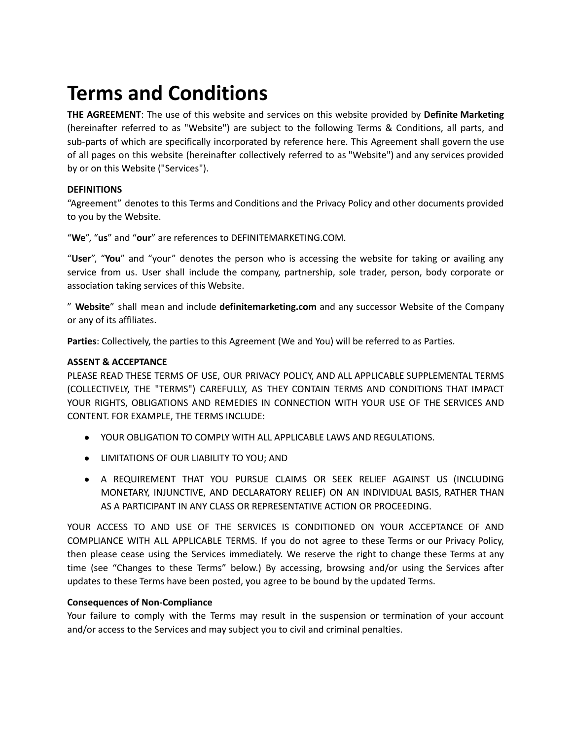# **Terms and Conditions**

**THE AGREEMENT**: The use of this website and services on this website provided by **Definite Marketing** (hereinafter referred to as "Website") are subject to the following Terms & Conditions, all parts, and sub-parts of which are specifically incorporated by reference here. This Agreement shall govern the use of all pages on this website (hereinafter collectively referred to as "Website") and any services provided by or on this Website ("Services").

# **DEFINITIONS**

"Agreement" denotes to this Terms and Conditions and the Privacy Policy and other documents provided to you by the Website.

"**We**", "**us**" and "**our**" are references to DEFINITEMARKETING.COM.

"**User**", "**You**" and "your" denotes the person who is accessing the website for taking or availing any service from us. User shall include the company, partnership, sole trader, person, body corporate or association taking services of this Website.

" **Website**" shall mean and include **definitemarketing.com** and any successor Website of the Company or any of its affiliates.

**Parties**: Collectively, the parties to this Agreement (We and You) will be referred to as Parties.

## **ASSENT & ACCEPTANCE**

PLEASE READ THESE TERMS OF USE, OUR PRIVACY POLICY, AND ALL APPLICABLE SUPPLEMENTAL TERMS (COLLECTIVELY, THE "TERMS") CAREFULLY, AS THEY CONTAIN TERMS AND CONDITIONS THAT IMPACT YOUR RIGHTS, OBLIGATIONS AND REMEDIES IN CONNECTION WITH YOUR USE OF THE SERVICES AND CONTENT. FOR EXAMPLE, THE TERMS INCLUDE:

- YOUR OBLIGATION TO COMPLY WITH ALL APPLICABLE LAWS AND REGULATIONS.
- LIMITATIONS OF OUR LIABILITY TO YOU; AND
- A REQUIREMENT THAT YOU PURSUE CLAIMS OR SEEK RELIEF AGAINST US (INCLUDING MONETARY, INJUNCTIVE, AND DECLARATORY RELIEF) ON AN INDIVIDUAL BASIS, RATHER THAN AS A PARTICIPANT IN ANY CLASS OR REPRESENTATIVE ACTION OR PROCEEDING.

YOUR ACCESS TO AND USE OF THE SERVICES IS CONDITIONED ON YOUR ACCEPTANCE OF AND COMPLIANCE WITH ALL APPLICABLE TERMS. If you do not agree to these Terms or our Privacy Policy, then please cease using the Services immediately. We reserve the right to change these Terms at any time (see "Changes to these Terms" below.) By accessing, browsing and/or using the Services after updates to these Terms have been posted, you agree to be bound by the updated Terms.

## **Consequences of Non-Compliance**

Your failure to comply with the Terms may result in the suspension or termination of your account and/or access to the Services and may subject you to civil and criminal penalties.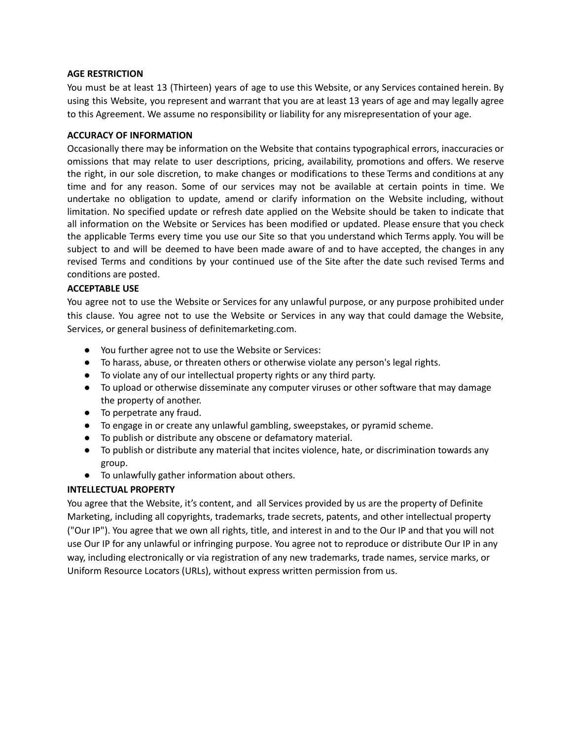## **AGE RESTRICTION**

You must be at least 13 (Thirteen) years of age to use this Website, or any Services contained herein. By using this Website, you represent and warrant that you are at least 13 years of age and may legally agree to this Agreement. We assume no responsibility or liability for any misrepresentation of your age.

## **ACCURACY OF INFORMATION**

Occasionally there may be information on the Website that contains typographical errors, inaccuracies or omissions that may relate to user descriptions, pricing, availability, promotions and offers. We reserve the right, in our sole discretion, to make changes or modifications to these Terms and conditions at any time and for any reason. Some of our services may not be available at certain points in time. We undertake no obligation to update, amend or clarify information on the Website including, without limitation. No specified update or refresh date applied on the Website should be taken to indicate that all information on the Website or Services has been modified or updated. Please ensure that you check the applicable Terms every time you use our Site so that you understand which Terms apply. You will be subject to and will be deemed to have been made aware of and to have accepted, the changes in any revised Terms and conditions by your continued use of the Site after the date such revised Terms and conditions are posted.

## **ACCEPTABLE USE**

You agree not to use the Website or Services for any unlawful purpose, or any purpose prohibited under this clause. You agree not to use the Website or Services in any way that could damage the Website, Services, or general business of definitemarketing.com.

- You further agree not to use the Website or Services:
- To harass, abuse, or threaten others or otherwise violate any person's legal rights.
- To violate any of our intellectual property rights or any third party.
- To upload or otherwise disseminate any computer viruses or other software that may damage the property of another.
- To perpetrate any fraud.
- To engage in or create any unlawful gambling, sweepstakes, or pyramid scheme.
- To publish or distribute any obscene or defamatory material.
- To publish or distribute any material that incites violence, hate, or discrimination towards any group.
- To unlawfully gather information about others.

## **INTELLECTUAL PROPERTY**

You agree that the Website, it's content, and all Services provided by us are the property of Definite Marketing, including all copyrights, trademarks, trade secrets, patents, and other intellectual property ("Our IP"). You agree that we own all rights, title, and interest in and to the Our IP and that you will not use Our IP for any unlawful or infringing purpose. You agree not to reproduce or distribute Our IP in any way, including electronically or via registration of any new trademarks, trade names, service marks, or Uniform Resource Locators (URLs), without express written permission from us.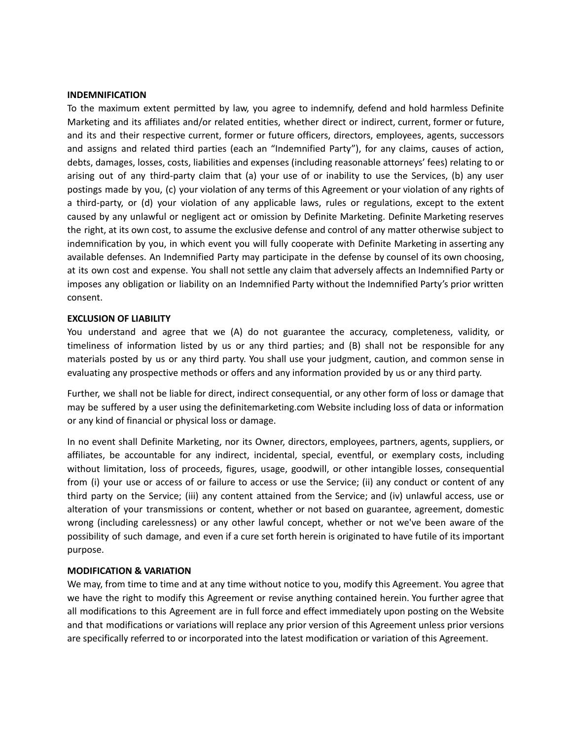#### **INDEMNIFICATION**

To the maximum extent permitted by law, you agree to indemnify, defend and hold harmless Definite Marketing and its affiliates and/or related entities, whether direct or indirect, current, former or future, and its and their respective current, former or future officers, directors, employees, agents, successors and assigns and related third parties (each an "Indemnified Party"), for any claims, causes of action, debts, damages, losses, costs, liabilities and expenses (including reasonable attorneys' fees) relating to or arising out of any third-party claim that (a) your use of or inability to use the Services, (b) any user postings made by you, (c) your violation of any terms of this Agreement or your violation of any rights of a third-party, or (d) your violation of any applicable laws, rules or regulations, except to the extent caused by any unlawful or negligent act or omission by Definite Marketing. Definite Marketing reserves the right, at its own cost, to assume the exclusive defense and control of any matter otherwise subject to indemnification by you, in which event you will fully cooperate with Definite Marketing in asserting any available defenses. An Indemnified Party may participate in the defense by counsel of its own choosing, at its own cost and expense. You shall not settle any claim that adversely affects an Indemnified Party or imposes any obligation or liability on an Indemnified Party without the Indemnified Party's prior written consent.

#### **EXCLUSION OF LIABILITY**

You understand and agree that we (A) do not guarantee the accuracy, completeness, validity, or timeliness of information listed by us or any third parties; and (B) shall not be responsible for any materials posted by us or any third party. You shall use your judgment, caution, and common sense in evaluating any prospective methods or offers and any information provided by us or any third party.

Further, we shall not be liable for direct, indirect consequential, or any other form of loss or damage that may be suffered by a user using the definitemarketing.com Website including loss of data or information or any kind of financial or physical loss or damage.

In no event shall Definite Marketing, nor its Owner, directors, employees, partners, agents, suppliers, or affiliates, be accountable for any indirect, incidental, special, eventful, or exemplary costs, including without limitation, loss of proceeds, figures, usage, goodwill, or other intangible losses, consequential from (i) your use or access of or failure to access or use the Service; (ii) any conduct or content of any third party on the Service; (iii) any content attained from the Service; and (iv) unlawful access, use or alteration of your transmissions or content, whether or not based on guarantee, agreement, domestic wrong (including carelessness) or any other lawful concept, whether or not we've been aware of the possibility of such damage, and even if a cure set forth herein is originated to have futile of its important purpose.

#### **MODIFICATION & VARIATION**

We may, from time to time and at any time without notice to you, modify this Agreement. You agree that we have the right to modify this Agreement or revise anything contained herein. You further agree that all modifications to this Agreement are in full force and effect immediately upon posting on the Website and that modifications or variations will replace any prior version of this Agreement unless prior versions are specifically referred to or incorporated into the latest modification or variation of this Agreement.